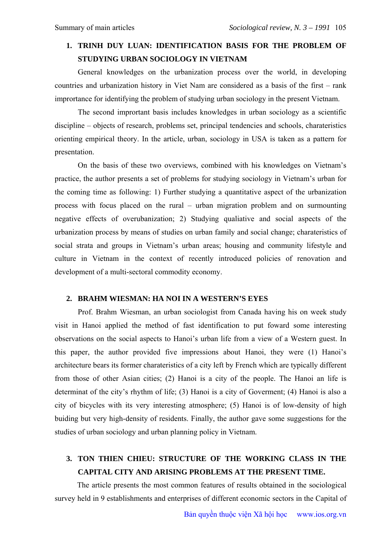## **1. TRINH DUY LUAN: IDENTIFICATION BASIS FOR THE PROBLEM OF STUDYING URBAN SOCIOLOGY IN VIETNAM**

General knowledges on the urbanization process over the world, in developing countries and urbanization history in Viet Nam are considered as a basis of the first – rank imprortance for identifying the problem of studying urban sociology in the present Vietnam.

The second imprortant basis includes knowledges in urban sociology as a scientific discipline – objects of research, problems set, principal tendencies and schools, charateristics orienting empirical theory. In the article, urban, sociology in USA is taken as a pattern for presentation.

On the basis of these two overviews, combined with his knowledges on Vietnam's practice, the author presents a set of problems for studying sociology in Vietnam's urban for the coming time as following: 1) Further studying a quantitative aspect of the urbanization process with focus placed on the rural – urban migration problem and on surmounting negative effects of overubanization; 2) Studying qualiative and social aspects of the urbanization process by means of studies on urban family and social change; charateristics of social strata and groups in Vietnam's urban areas; housing and community lifestyle and culture in Vietnam in the context of recently introduced policies of renovation and development of a multi-sectoral commodity economy.

#### **2. BRAHM WIESMAN: HA NOI IN A WESTERN'S EYES**

Prof. Brahm Wiesman, an urban sociologist from Canada having his on week study visit in Hanoi applied the method of fast identification to put foward some interesting observations on the social aspects to Hanoi's urban life from a view of a Western guest. In this paper, the author provided five impressions about Hanoi, they were (1) Hanoi's architecture bears its former charateristics of a city left by French which are typically different from those of other Asian cities; (2) Hanoi is a city of the people. The Hanoi an life is determinat of the city's rhythm of life; (3) Hanoi is a city of Goverment; (4) Hanoi is also a city of bicycles with its very interesting atmosphere; (5) Hanoi is of low-density of high buiding but very high-density of residents. Finally, the author gave some suggestions for the studies of urban sociology and urban planning policy in Vietnam.

# **3. TON THIEN CHIEU: STRUCTURE OF THE WORKING CLASS IN THE CAPITAL CITY AND ARISING PROBLEMS AT THE PRESENT TIME.**

The article presents the most common features of results obtained in the sociological survey held in 9 establishments and enterprises of different economic sectors in the Capital of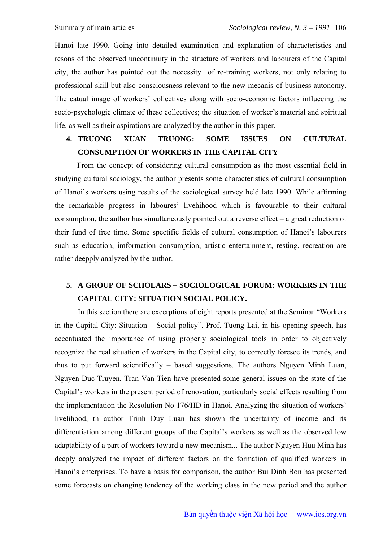Hanoi late 1990. Going into detailed examination and explanation of characteristics and resons of the observed uncontinuity in the structure of workers and labourers of the Capital city, the author has pointed out the necessity of re-training workers, not only relating to professional skill but also consciousness relevant to the new mecanis of business autonomy. The catual image of workers' collectives along with socio-economic factors influecing the socio-psychologic climate of these collectives; the situation of worker's material and spiritual life, as well as their aspirations are analyzed by the author in this paper.

## **4. TRUONG XUAN TRUONG: SOME ISSUES ON CULTURAL CONSUMPTION OF WORKERS IN THE CAPITAL CITY**

From the concept of considering cultural consumption as the most essential field in studying cultural sociology, the author presents some characteristics of culrural consumption of Hanoi's workers using results of the sociological survey held late 1990. While affirming the remarkable progress in laboures' livehihood which is favourable to their cultural consumption, the author has simultaneously pointed out a reverse effect – a great reduction of their fund of free time. Some spectific fields of cultural consumption of Hanoi's labourers such as education, imformation consumption, artistic entertainment, resting, recreation are rather deepply analyzed by the author.

## **5. A GROUP OF SCHOLARS – SOCIOLOGICAL FORUM: WORKERS IN THE CAPITAL CITY: SITUATION SOCIAL POLICY.**

In this section there are excerptions of eight reports presented at the Seminar "Workers in the Capital City: Situation – Social policy". Prof. Tuong Lai, in his opening speech, has accentuated the importance of using properly sociological tools in order to objectively recognize the real situation of workers in the Capital city, to correctly foresee its trends, and thus to put forward scientifically – based suggestions. The authors Nguyen Minh Luan, Nguyen Duc Truyen, Tran Van Tien have presented some general issues on the state of the Capital's workers in the present period of renovation, particularly social effects resulting from the implementation the Resolution No 176/HĐ in Hanoi. Analyzing the situation of workers' livelihood, th author Trinh Duy Luan has shown the uncertainty of income and its differentiation among different groups of the Capital's workers as well as the observed low adaptability of a part of workers toward a new mecanism... The author Nguyen Huu Minh has deeply analyzed the impact of different factors on the formation of qualified workers in Hanoi's enterprises. To have a basis for comparison, the author Bui Dinh Bon has presented some forecasts on changing tendency of the working class in the new period and the author